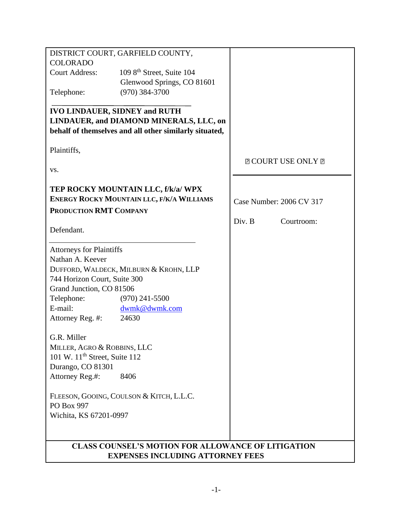| DISTRICT COURT, GARFIELD COUNTY,                          |                                       |                           |
|-----------------------------------------------------------|---------------------------------------|---------------------------|
| <b>COLORADO</b>                                           |                                       |                           |
| <b>Court Address:</b>                                     | 109 8 <sup>th</sup> Street, Suite 104 |                           |
|                                                           | Glenwood Springs, CO 81601            |                           |
| Telephone:                                                | $(970)$ 384-3700                      |                           |
|                                                           |                                       |                           |
| <b>IVO LINDAUER, SIDNEY and RUTH</b>                      |                                       |                           |
| LINDAUER, and DIAMOND MINERALS, LLC, on                   |                                       |                           |
| behalf of themselves and all other similarly situated,    |                                       |                           |
|                                                           |                                       |                           |
| Plaintiffs,                                               |                                       |                           |
|                                                           |                                       | <b>E COURT USE ONLY E</b> |
| VS.                                                       |                                       |                           |
|                                                           |                                       |                           |
|                                                           | TEP ROCKY MOUNTAIN LLC, f/k/a/ WPX    |                           |
| ENERGY ROCKY MOUNTAIN LLC, F/K/A WILLIAMS                 |                                       |                           |
|                                                           |                                       | Case Number: 2006 CV 317  |
| PRODUCTION RMT COMPANY                                    |                                       |                           |
| Defendant.                                                |                                       | Div. B<br>Courtroom:      |
|                                                           |                                       |                           |
|                                                           |                                       |                           |
| <b>Attorneys for Plaintiffs</b><br>Nathan A. Keever       |                                       |                           |
|                                                           |                                       |                           |
| DUFFORD, WALDECK, MILBURN & KROHN, LLP                    |                                       |                           |
| 744 Horizon Court, Suite 300                              |                                       |                           |
| Grand Junction, CO 81506                                  |                                       |                           |
| Telephone:                                                | $(970)$ 241-5500                      |                           |
| E-mail:                                                   | dwmk@dwmk.com                         |                           |
| Attorney Reg. #:                                          | 24630                                 |                           |
| G.R. Miller                                               |                                       |                           |
| MILLER, AGRO & ROBBINS, LLC                               |                                       |                           |
|                                                           |                                       |                           |
| 101 W. $11th$ Street, Suite 112                           |                                       |                           |
| Durango, CO 81301                                         |                                       |                           |
| Attorney Reg.#:                                           | 8406                                  |                           |
|                                                           |                                       |                           |
| FLEESON, GOOING, COULSON & KITCH, L.L.C.<br>PO Box 997    |                                       |                           |
| Wichita, KS 67201-0997                                    |                                       |                           |
|                                                           |                                       |                           |
|                                                           |                                       |                           |
| <b>CLASS COUNSEL'S MOTION FOR ALLOWANCE OF LITIGATION</b> |                                       |                           |
|                                                           |                                       |                           |
| <b>EXPENSES INCLUDING ATTORNEY FEES</b>                   |                                       |                           |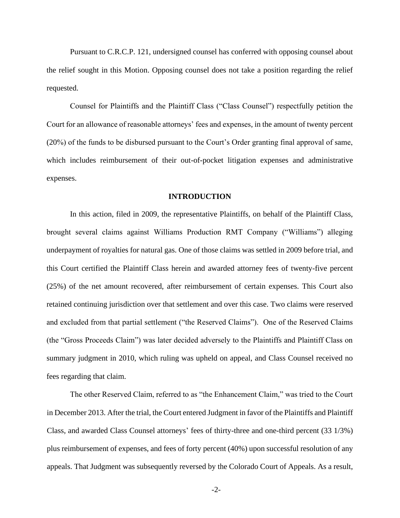Pursuant to C.R.C.P. 121, undersigned counsel has conferred with opposing counsel about the relief sought in this Motion. Opposing counsel does not take a position regarding the relief requested.

Counsel for Plaintiffs and the Plaintiff Class ("Class Counsel") respectfully petition the Court for an allowance of reasonable attorneys' fees and expenses, in the amount of twenty percent (20%) of the funds to be disbursed pursuant to the Court's Order granting final approval of same, which includes reimbursement of their out-of-pocket litigation expenses and administrative expenses.

#### **INTRODUCTION**

In this action, filed in 2009, the representative Plaintiffs, on behalf of the Plaintiff Class, brought several claims against Williams Production RMT Company ("Williams") alleging underpayment of royalties for natural gas. One of those claims was settled in 2009 before trial, and this Court certified the Plaintiff Class herein and awarded attorney fees of twenty-five percent (25%) of the net amount recovered, after reimbursement of certain expenses. This Court also retained continuing jurisdiction over that settlement and over this case. Two claims were reserved and excluded from that partial settlement ("the Reserved Claims"). One of the Reserved Claims (the "Gross Proceeds Claim") was later decided adversely to the Plaintiffs and Plaintiff Class on summary judgment in 2010, which ruling was upheld on appeal, and Class Counsel received no fees regarding that claim.

The other Reserved Claim, referred to as "the Enhancement Claim," was tried to the Court in December 2013. After the trial, the Court entered Judgment in favor of the Plaintiffs and Plaintiff Class, and awarded Class Counsel attorneys' fees of thirty-three and one-third percent (33 1/3%) plus reimbursement of expenses, and fees of forty percent (40%) upon successful resolution of any appeals. That Judgment was subsequently reversed by the Colorado Court of Appeals. As a result,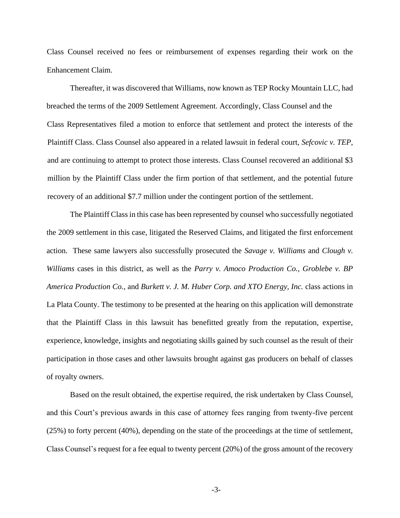Class Counsel received no fees or reimbursement of expenses regarding their work on the Enhancement Claim.

Thereafter, it was discovered that Williams, now known as TEP Rocky Mountain LLC, had breached the terms of the 2009 Settlement Agreement. Accordingly, Class Counsel and the Class Representatives filed a motion to enforce that settlement and protect the interests of the Plaintiff Class. Class Counsel also appeared in a related lawsuit in federal court, *Sefcovic v. TEP,*  and are continuing to attempt to protect those interests. Class Counsel recovered an additional \$3 million by the Plaintiff Class under the firm portion of that settlement, and the potential future recovery of an additional \$7.7 million under the contingent portion of the settlement.

The Plaintiff Class in this case has been represented by counsel who successfully negotiated the 2009 settlement in this case, litigated the Reserved Claims, and litigated the first enforcement action. These same lawyers also successfully prosecuted the *Savage v. Williams* and *Clough v. Williams* cases in this district, as well as the *Parry v. Amoco Production Co., Groblebe v. BP America Production Co.*, and *Burkett v. J. M. Huber Corp. and XTO Energy, Inc.* class actions in La Plata County. The testimony to be presented at the hearing on this application will demonstrate that the Plaintiff Class in this lawsuit has benefitted greatly from the reputation, expertise, experience, knowledge, insights and negotiating skills gained by such counsel as the result of their participation in those cases and other lawsuits brought against gas producers on behalf of classes of royalty owners.

Based on the result obtained, the expertise required, the risk undertaken by Class Counsel, and this Court's previous awards in this case of attorney fees ranging from twenty-five percent (25%) to forty percent (40%), depending on the state of the proceedings at the time of settlement, Class Counsel's request for a fee equal to twenty percent (20%) of the gross amount of the recovery

-3-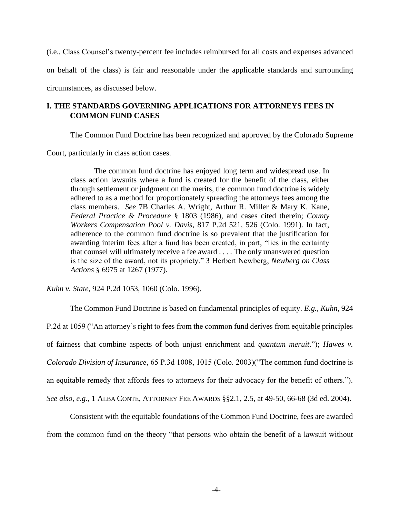(i.e., Class Counsel's twenty-percent fee includes reimbursed for all costs and expenses advanced on behalf of the class) is fair and reasonable under the applicable standards and surrounding circumstances, as discussed below.

# **I. THE STANDARDS GOVERNING APPLICATIONS FOR ATTORNEYS FEES IN COMMON FUND CASES**

The Common Fund Doctrine has been recognized and approved by the Colorado Supreme

Court, particularly in class action cases.

The common fund doctrine has enjoyed long term and widespread use. In class action lawsuits where a fund is created for the benefit of the class, either through settlement or judgment on the merits, the common fund doctrine is widely adhered to as a method for proportionately spreading the attorneys fees among the class members. *See* 7B Charles A. Wright, Arthur R. Miller & Mary K. Kane, *Federal Practice & Procedure* § 1803 (1986), and cases cited therein; *County Workers Compensation Pool v. Davis*, 817 P.2d 521, 526 (Colo. 1991). In fact, adherence to the common fund doctrine is so prevalent that the justification for awarding interim fees after a fund has been created, in part, "lies in the certainty that counsel will ultimately receive a fee award . . . . The only unanswered question is the size of the award, not its propriety." 3 Herbert Newberg, *Newberg on Class Actions* § 6975 at 1267 (1977).

*Kuhn v. State*, 924 P.2d 1053, 1060 (Colo. 1996).

The Common Fund Doctrine is based on fundamental principles of equity. *E.g., Kuhn,* 924 P.2d at 1059 ("An attorney's right to fees from the common fund derives from equitable principles of fairness that combine aspects of both unjust enrichment and *quantum meruit*."); *Hawes v. Colorado Division of Insurance*, 65 P.3d 1008, 1015 (Colo. 2003)("The common fund doctrine is an equitable remedy that affords fees to attorneys for their advocacy for the benefit of others."). *See also, e.g.*, 1 ALBA CONTE, ATTORNEY FEE AWARDS §§2.1, 2.5, at 49-50, 66-68 (3d ed. 2004).

Consistent with the equitable foundations of the Common Fund Doctrine, fees are awarded from the common fund on the theory "that persons who obtain the benefit of a lawsuit without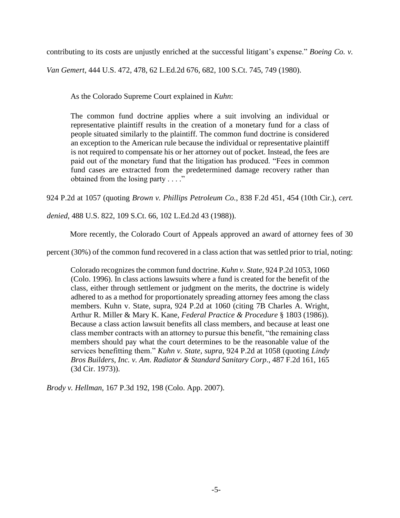contributing to its costs are unjustly enriched at the successful litigant's expense." *Boeing Co. v.* 

*Van Gemert*, 444 U.S. 472, 478, 62 L.Ed.2d 676, 682, 100 S.Ct. 745, 749 (1980).

As the Colorado Supreme Court explained in *Kuhn*:

The common fund doctrine applies where a suit involving an individual or representative plaintiff results in the creation of a monetary fund for a class of people situated similarly to the plaintiff. The common fund doctrine is considered an exception to the American rule because the individual or representative plaintiff is not required to compensate his or her attorney out of pocket. Instead, the fees are paid out of the monetary fund that the litigation has produced. "Fees in common fund cases are extracted from the predetermined damage recovery rather than obtained from the losing party . . . ."

924 P.2d at 1057 (quoting *Brown v. Phillips Petroleum Co.*, 838 F.2d 451, 454 (10th Cir.), *cert.* 

*denied*, 488 U.S. 822, 109 S.Ct. 66, 102 L.Ed.2d 43 (1988)).

More recently, the Colorado Court of Appeals approved an award of attorney fees of 30

percent (30%) of the common fund recovered in a class action that was settled prior to trial, noting:

Colorado recognizes the common fund doctrine. *Kuhn v. State*, 924 P.2d 1053, 1060 (Colo. 1996). In class actions lawsuits where a fund is created for the benefit of the class, either through settlement or judgment on the merits, the doctrine is widely adhered to as a method for proportionately spreading attorney fees among the class members. Kuhn v. State, supra, 924 P.2d at 1060 (citing 7B Charles A. Wright, Arthur R. Miller & Mary K. Kane, *Federal Practice & Procedure* § 1803 (1986)). Because a class action lawsuit benefits all class members, and because at least one class member contracts with an attorney to pursue this benefit, "the remaining class members should pay what the court determines to be the reasonable value of the services benefitting them." *Kuhn v. State*, *supra*, 924 P.2d at 1058 (quoting *Lindy Bros Builders, Inc. v. Am. Radiator & Standard Sanitary Corp*., 487 F.2d 161, 165 (3d Cir. 1973)).

*Brody v. Hellman*, 167 P.3d 192, 198 (Colo. App. 2007).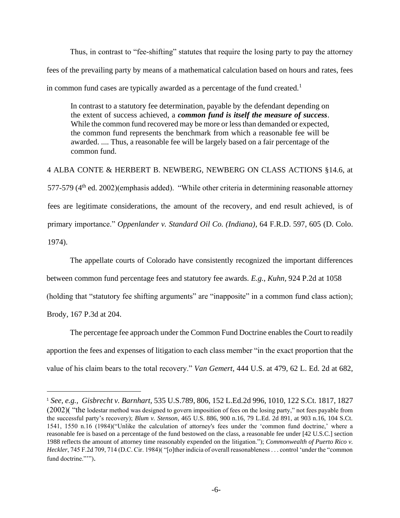Thus, in contrast to "fee-shifting" statutes that require the losing party to pay the attorney fees of the prevailing party by means of a mathematical calculation based on hours and rates, fees in common fund cases are typically awarded as a percentage of the fund created.<sup>1</sup>

In contrast to a statutory fee determination, payable by the defendant depending on the extent of success achieved, a *common fund is itself the measure of success*. While the common fund recovered may be more or less than demanded or expected, the common fund represents the benchmark from which a reasonable fee will be awarded. .... Thus, a reasonable fee will be largely based on a fair percentage of the common fund.

4 ALBA CONTE & HERBERT B. NEWBERG, NEWBERG ON CLASS ACTIONS §14.6, at 577-579 (4<sup>th</sup> ed. 2002)(emphasis added). "While other criteria in determining reasonable attorney fees are legitimate considerations, the amount of the recovery, and end result achieved, is of primary importance." *Oppenlander v. Standard Oil Co. (Indiana)*, 64 F.R.D. 597, 605 (D. Colo. 1974).

The appellate courts of Colorado have consistently recognized the important differences

between common fund percentage fees and statutory fee awards. *E.g.*, *Kuhn,* 924 P.2d at 1058

(holding that "statutory fee shifting arguments" are "inapposite" in a common fund class action);

Brody, 167 P.3d at 204.

The percentage fee approach under the Common Fund Doctrine enables the Court to readily apportion the fees and expenses of litigation to each class member "in the exact proportion that the value of his claim bears to the total recovery." *Van Gemert*, 444 U.S. at 479, 62 L. Ed. 2d at 682,

<sup>1</sup> *See, e.g., Gisbrecht v. Barnhart,* 535 U.S.789, 806, 152 L.Ed.2d 996, 1010, 122 S.Ct. 1817, 1827 (2002)( "the lodestar method was designed to govern imposition of fees on the losing party," not fees payable from the successful party's recovery); *Blum v. Stenson*, 465 U.S. 886, 900 n.16, 79 L.Ed. 2d 891, at 903 n.16, 104 S.Ct. 1541, 1550 n.16 (1984)("Unlike the calculation of attorney's fees under the 'common fund doctrine,' where a reasonable fee is based on a percentage of the fund bestowed on the class, a reasonable fee under [42 U.S.C.] section 1988 reflects the amount of attorney time reasonably expended on the litigation."); *Commonwealth of Puerto Rico v. Heckler*, 745 F.2d 709, 714 (D.C. Cir. 1984)( "[o]ther indicia of overall reasonableness . . . control 'under the "common fund doctrine.""").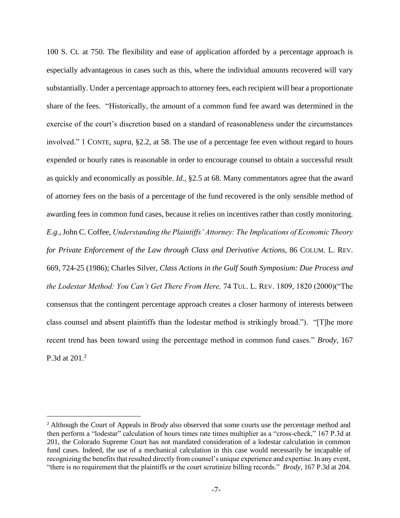100 S. Ct. at 750. The flexibility and ease of application afforded by a percentage approach is especially advantageous in cases such as this, where the individual amounts recovered will vary substantially. Under a percentage approach to attorney fees, each recipient will bear a proportionate share of the fees. "Historically, the amount of a common fund fee award was determined in the exercise of the court's discretion based on a standard of reasonableness under the circumstances involved." 1 CONTE, *supra*, §2.2, at 58. The use of a percentage fee even without regard to hours expended or hourly rates is reasonable in order to encourage counsel to obtain a successful result as quickly and economically as possible. *Id.*, §2.5 at 68. Many commentators agree that the award of attorney fees on the basis of a percentage of the fund recovered is the only sensible method of awarding fees in common fund cases, because it relies on incentives rather than costly monitoring. *E.g.*, John C. Coffee, *Understanding the Plaintiffs' Attorney: The Implications of Economic Theory for Private Enforcement of the Law through Class and Derivative Actions*, 86 COLUM. L. REV. 669, 724-25 (1986); Charles Silver, *Class Actions in the Gulf South Symposium: Due Process and the Lodestar Method: You Can't Get There From Here,* 74 TUL. L. REV. 1809, 1820 (2000)("The consensus that the contingent percentage approach creates a closer harmony of interests between class counsel and absent plaintiffs than the lodestar method is strikingly broad."). "[T]he more recent trend has been toward using the percentage method in common fund cases." *Brody,* 167 P.3d at 201.<sup>2</sup>

<sup>2</sup> Although the Court of Appeals in *Brody* also observed that some courts use the percentage method and then perform a "lodestar" calculation of hours times rate times multiplier as a "cross-check," 167 P.3d at 201, the Colorado Supreme Court has not mandated consideration of a lodestar calculation in common fund cases. Indeed, the use of a mechanical calculation in this case would necessarily be incapable of recognizing the benefits that resulted directly from counsel's unique experience and expertise. In any event, "there is no requirement that the plaintiffs or the court scrutinize billing records." *Brody*, 167 P.3d at 204.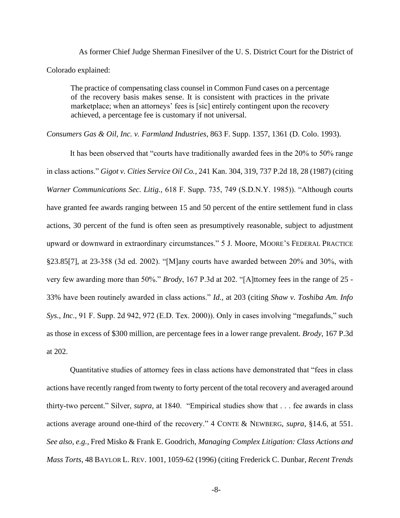As former Chief Judge Sherman Finesilver of the U. S. District Court for the District of Colorado explained:

The practice of compensating class counsel in Common Fund cases on a percentage of the recovery basis makes sense. It is consistent with practices in the private marketplace; when an attorneys' fees is [sic] entirely contingent upon the recovery achieved, a percentage fee is customary if not universal.

*Consumers Gas & Oil, Inc. v. Farmland Industries*, 863 F. Supp. 1357, 1361 (D. Colo. 1993).

It has been observed that "courts have traditionally awarded fees in the 20% to 50% range in class actions." *Gigot v. Cities Service Oil Co.*, 241 Kan. 304, 319, 737 P.2d 18, 28 (1987) (citing *Warner Communications Sec. Litig.,* 618 F. Supp. 735, 749 (S.D.N.Y. 1985)). "Although courts have granted fee awards ranging between 15 and 50 percent of the entire settlement fund in class actions, 30 percent of the fund is often seen as presumptively reasonable, subject to adjustment upward or downward in extraordinary circumstances." 5 J. Moore, MOORE'S FEDERAL PRACTICE §23.85[7], at 23-358 (3d ed. 2002). "[M]any courts have awarded between 20% and 30%, with very few awarding more than 50%." *Brody*, 167 P.3d at 202. "[A]ttorney fees in the range of 25 - 33% have been routinely awarded in class actions." *Id.,* at 203 (citing *Shaw v. Toshiba Am. Info Sys., Inc*., 91 F. Supp. 2d 942, 972 (E.D. Tex. 2000)). Only in cases involving "megafunds," such as those in excess of \$300 million, are percentage fees in a lower range prevalent. *Brody*, 167 P.3d at 202.

Quantitative studies of attorney fees in class actions have demonstrated that "fees in class actions have recently ranged from twenty to forty percent of the total recovery and averaged around thirty-two percent." Silver, *supra,* at 1840. "Empirical studies show that . . . fee awards in class actions average around one-third of the recovery." 4 CONTE & NEWBERG, *supra*, §14.6, at 551. *See also, e.g.,* Fred Misko & Frank E. Goodrich, *Managing Complex Litigation: Class Actions and Mass Torts,* 48 BAYLOR L. REV. 1001, 1059-62 (1996) (citing Frederick C. Dunbar, *Recent Trends* 

-8-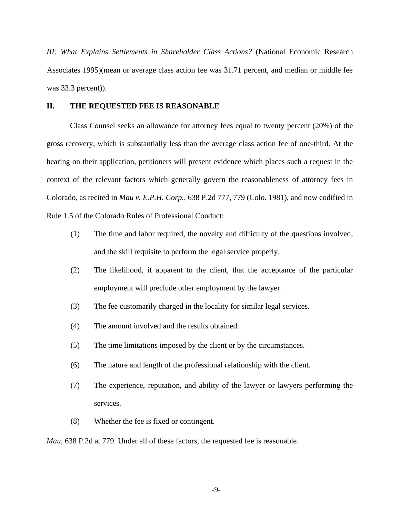*III: What Explains Settlements in Shareholder Class Actions?* (National Economic Research Associates 1995)(mean or average class action fee was 31.71 percent, and median or middle fee was 33.3 percent)).

### **II. THE REQUESTED FEE IS REASONABLE**

Class Counsel seeks an allowance for attorney fees equal to twenty percent (20%) of the gross recovery, which is substantially less than the average class action fee of one-third. At the hearing on their application, petitioners will present evidence which places such a request in the context of the relevant factors which generally govern the reasonableness of attorney fees in Colorado, as recited in *Mau v. E.P.H. Corp.,* 638 P.2d 777, 779 (Colo. 1981), and now codified in Rule 1.5 of the Colorado Rules of Professional Conduct:

- (1) The time and labor required, the novelty and difficulty of the questions involved, and the skill requisite to perform the legal service properly.
- (2) The likelihood, if apparent to the client, that the acceptance of the particular employment will preclude other employment by the lawyer.
- (3) The fee customarily charged in the locality for similar legal services.
- (4) The amount involved and the results obtained.
- (5) The time limitations imposed by the client or by the circumstances.
- (6) The nature and length of the professional relationship with the client.
- (7) The experience, reputation, and ability of the lawyer or lawyers performing the services.
- (8) Whether the fee is fixed or contingent.

*Mau*, 638 P.2d at 779. Under all of these factors, the requested fee is reasonable.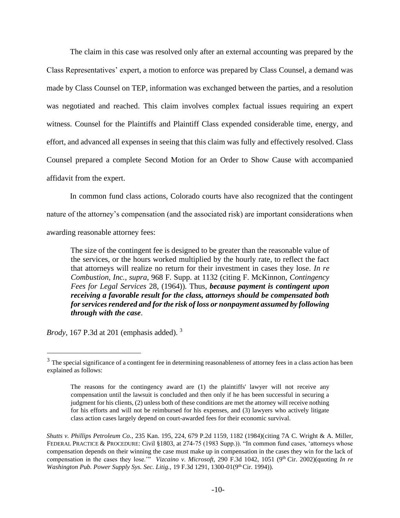The claim in this case was resolved only after an external accounting was prepared by the Class Representatives' expert, a motion to enforce was prepared by Class Counsel, a demand was made by Class Counsel on TEP, information was exchanged between the parties, and a resolution was negotiated and reached. This claim involves complex factual issues requiring an expert witness. Counsel for the Plaintiffs and Plaintiff Class expended considerable time, energy, and effort, and advanced all expenses in seeing that this claim was fully and effectively resolved. Class Counsel prepared a complete Second Motion for an Order to Show Cause with accompanied affidavit from the expert.

In common fund class actions, Colorado courts have also recognized that the contingent nature of the attorney's compensation (and the associated risk) are important considerations when awarding reasonable attorney fees:

The size of the contingent fee is designed to be greater than the reasonable value of the services, or the hours worked multiplied by the hourly rate, to reflect the fact that attorneys will realize no return for their investment in cases they lose. *In re Combustion, Inc.*, *supra*, 968 F. Supp. at 1132 (citing F. McKinnon, *Contingency Fees for Legal Services* 28, (1964)). Thus, *because payment is contingent upon receiving a favorable result for the class, attorneys should be compensated both for services rendered and for the risk of loss or nonpayment assumed by following through with the case*.

*Brody*, 167 P.3d at 201 (emphasis added).<sup>3</sup>

 $3$  The special significance of a contingent fee in determining reasonableness of attorney fees in a class action has been explained as follows:

The reasons for the contingency award are (1) the plaintiffs' lawyer will not receive any compensation until the lawsuit is concluded and then only if he has been successful in securing a judgment for his clients, (2) unless both of these conditions are met the attorney will receive nothing for his efforts and will not be reimbursed for his expenses, and (3) lawyers who actively litigate class action cases largely depend on court-awarded fees for their economic survival.

*Shutts v. Phillips Petroleum Co.*, 235 Kan. 195, 224, 679 P.2d 1159, 1182 (1984)(citing 7A C. Wright & A. Miller, FEDERAL PRACTICE & PROCEDURE: Civil §1803, at 274-75 (1983 Supp.)). "In common fund cases, 'attorneys whose compensation depends on their winning the case must make up in compensation in the cases they win for the lack of compensation in the cases they lose."<sup>"</sup> *Vizcaino v. Microsoft*, 290 F.3d 1042, 1051 (9<sup>th</sup> Cir. 2002)(quoting *In re Washington Pub. Power Supply Sys. Sec. Litig.,* 19 F.3d 1291, 1300-01(9th Cir. 1994)).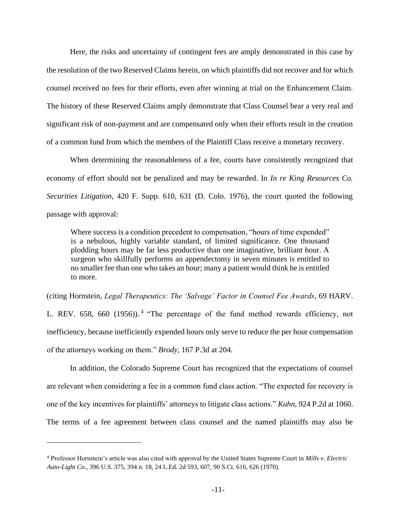Here, the risks and uncertainty of contingent fees are amply demonstrated in this case by the resolution of the two Reserved Claims herein, on which plaintiffs did not recover and for which counsel received no fees for their efforts, even after winning at trial on the Enhancement Claim. The history of these Reserved Claims amply demonstrate that Class Counsel bear a very real and significant risk of non-payment and are compensated only when their efforts result in the creation of a common fund from which the members of the Plaintiff Class receive a monetary recovery.

When determining the reasonableness of a fee, courts have consistently recognized that economy of effort should not be penalized and may be rewarded. In *In re King Resources Co. Securities Litigation*, 420 F. Supp. 610, 631 (D. Colo. 1976), the court quoted the following passage with approval:

Where success is a condition precedent to compensation, "hours of time expended" is a nebulous, highly variable standard, of limited significance. One thousand plodding hours may be far less productive than one imaginative, brilliant hour. A surgeon who skillfully performs an appendectomy in seven minutes is entitled to no smaller fee than one who takes an hour; many a patient would think he is entitled to more.

(citing Hornstein, *Legal Therapeutics: The 'Salvage' Factor in Counsel Fee Awards*, 69 HARV. L. REV. 658, 660 (1956)).<sup>4</sup> "The percentage of the fund method rewards efficiency, not inefficiency, because inefficiently expended hours only serve to reduce the per hour compensation of the attorneys working on them." *Brody*, 167 P.3d at 204.

In addition, the Colorado Supreme Court has recognized that the expectations of counsel are relevant when considering a fee in a common fund class action. "The expected fee recovery is one of the key incentives for plaintiffs' attorneys to litigate class actions." *Kuhn*, 924 P.2d at 1060. The terms of a fee agreement between class counsel and the named plaintiffs may also be

<sup>4</sup> Professor Hornstein's article was also cited with approval by the United States Supreme Court in *Mills v. Electric Auto-Light Co.*, 396 U.S. 375, 394 n. 18, 24 L.Ed. 2d 593, 607, 90 S.Ct. 616, 626 (1970).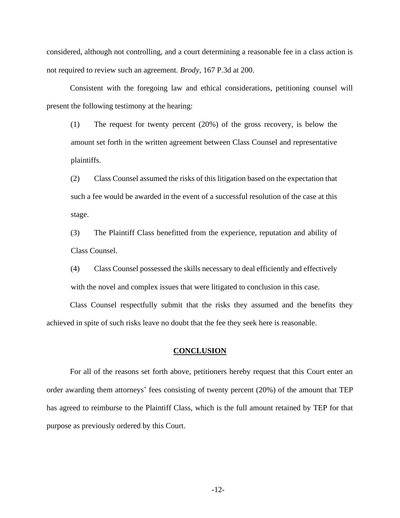considered, although not controlling, and a court determining a reasonable fee in a class action is not required to review such an agreement. *Brody*, 167 P.3d at 200.

Consistent with the foregoing law and ethical considerations, petitioning counsel will present the following testimony at the hearing:

(1) The request for twenty percent (20%) of the gross recovery, is below the amount set forth in the written agreement between Class Counsel and representative plaintiffs.

(2) Class Counsel assumed the risks of this litigation based on the expectation that such a fee would be awarded in the event of a successful resolution of the case at this stage.

(3) The Plaintiff Class benefitted from the experience, reputation and ability of Class Counsel.

(4) Class Counsel possessed the skills necessary to deal efficiently and effectively with the novel and complex issues that were litigated to conclusion in this case.

Class Counsel respectfully submit that the risks they assumed and the benefits they achieved in spite of such risks leave no doubt that the fee they seek here is reasonable.

### **CONCLUSION**

For all of the reasons set forth above, petitioners hereby request that this Court enter an order awarding them attorneys' fees consisting of twenty percent (20%) of the amount that TEP has agreed to reimburse to the Plaintiff Class, which is the full amount retained by TEP for that purpose as previously ordered by this Court.

-12-